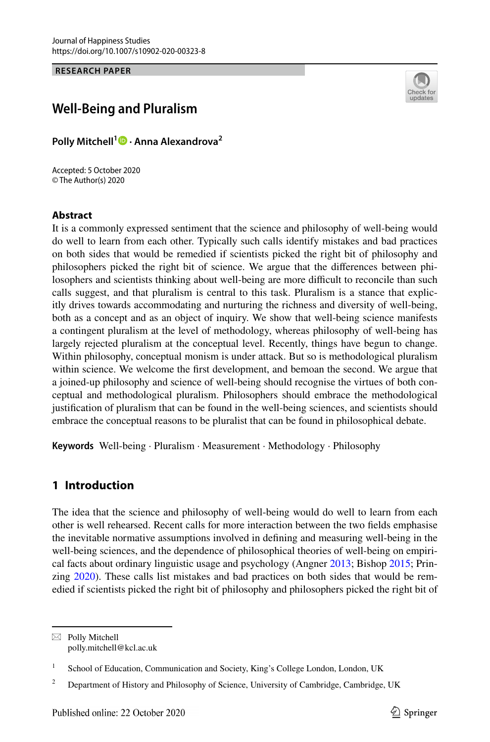**RESEARCH PAPER**



# **Well‑Being and Pluralism**

**Polly Mitchell1 · Anna Alexandrova2**

Accepted: 5 October 2020 © The Author(s) 2020

### **Abstract**

It is a commonly expressed sentiment that the science and philosophy of well-being would do well to learn from each other. Typically such calls identify mistakes and bad practices on both sides that would be remedied if scientists picked the right bit of philosophy and philosophers picked the right bit of science. We argue that the diferences between philosophers and scientists thinking about well-being are more difficult to reconcile than such calls suggest, and that pluralism is central to this task. Pluralism is a stance that explicitly drives towards accommodating and nurturing the richness and diversity of well-being, both as a concept and as an object of inquiry. We show that well-being science manifests a contingent pluralism at the level of methodology, whereas philosophy of well-being has largely rejected pluralism at the conceptual level. Recently, things have begun to change. Within philosophy, conceptual monism is under attack. But so is methodological pluralism within science. We welcome the frst development, and bemoan the second. We argue that a joined-up philosophy and science of well-being should recognise the virtues of both conceptual and methodological pluralism. Philosophers should embrace the methodological justifcation of pluralism that can be found in the well-being sciences, and scientists should embrace the conceptual reasons to be pluralist that can be found in philosophical debate.

**Keywords** Well-being · Pluralism · Measurement · Methodology · Philosophy

## **1 Introduction**

The idea that the science and philosophy of well-being would do well to learn from each other is well rehearsed. Recent calls for more interaction between the two felds emphasise the inevitable normative assumptions involved in defning and measuring well-being in the well-being sciences, and the dependence of philosophical theories of well-being on empirical facts about ordinary linguistic usage and psychology (Angner [2013](#page-20-0); Bishop [2015](#page-20-1); Prinzing [2020](#page-21-0)). These calls list mistakes and bad practices on both sides that would be remedied if scientists picked the right bit of philosophy and philosophers picked the right bit of

 $\boxtimes$  Polly Mitchell polly.mitchell@kcl.ac.uk

<sup>&</sup>lt;sup>1</sup> School of Education, Communication and Society, King's College London, London, UK

<sup>&</sup>lt;sup>2</sup> Department of History and Philosophy of Science, University of Cambridge, Cambridge, UK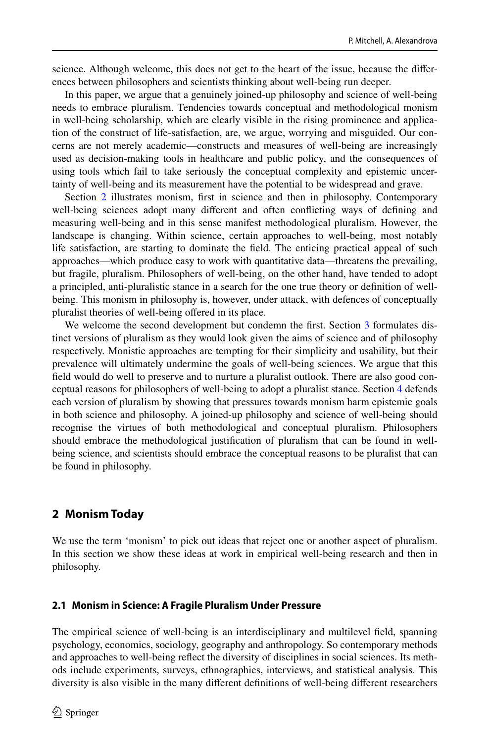science. Although welcome, this does not get to the heart of the issue, because the diferences between philosophers and scientists thinking about well-being run deeper.

In this paper, we argue that a genuinely joined-up philosophy and science of well-being needs to embrace pluralism. Tendencies towards conceptual and methodological monism in well-being scholarship, which are clearly visible in the rising prominence and application of the construct of life-satisfaction, are, we argue, worrying and misguided. Our concerns are not merely academic—constructs and measures of well-being are increasingly used as decision-making tools in healthcare and public policy, and the consequences of using tools which fail to take seriously the conceptual complexity and epistemic uncertainty of well-being and its measurement have the potential to be widespread and grave.

Section [2](#page-1-0) illustrates monism, first in science and then in philosophy. Contemporary well-being sciences adopt many diferent and often conficting ways of defning and measuring well-being and in this sense manifest methodological pluralism. However, the landscape is changing. Within science, certain approaches to well-being, most notably life satisfaction, are starting to dominate the feld. The enticing practical appeal of such approaches—which produce easy to work with quantitative data—threatens the prevailing, but fragile, pluralism. Philosophers of well-being, on the other hand, have tended to adopt a principled, anti-pluralistic stance in a search for the one true theory or defnition of wellbeing. This monism in philosophy is, however, under attack, with defences of conceptually pluralist theories of well-being ofered in its place.

We welcome the second development but condemn the first. Section [3](#page-7-0) formulates distinct versions of pluralism as they would look given the aims of science and of philosophy respectively. Monistic approaches are tempting for their simplicity and usability, but their prevalence will ultimately undermine the goals of well-being sciences. We argue that this feld would do well to preserve and to nurture a pluralist outlook. There are also good conceptual reasons for philosophers of well-being to adopt a pluralist stance. Section [4](#page-16-0) defends each version of pluralism by showing that pressures towards monism harm epistemic goals in both science and philosophy. A joined-up philosophy and science of well-being should recognise the virtues of both methodological and conceptual pluralism. Philosophers should embrace the methodological justifcation of pluralism that can be found in wellbeing science, and scientists should embrace the conceptual reasons to be pluralist that can be found in philosophy.

## <span id="page-1-0"></span>**2 Monism Today**

We use the term 'monism' to pick out ideas that reject one or another aspect of pluralism. In this section we show these ideas at work in empirical well-being research and then in philosophy.

## <span id="page-1-1"></span>**2.1 Monism in Science: A Fragile Pluralism Under Pressure**

The empirical science of well-being is an interdisciplinary and multilevel feld, spanning psychology, economics, sociology, geography and anthropology. So contemporary methods and approaches to well-being refect the diversity of disciplines in social sciences. Its methods include experiments, surveys, ethnographies, interviews, and statistical analysis. This diversity is also visible in the many diferent defnitions of well-being diferent researchers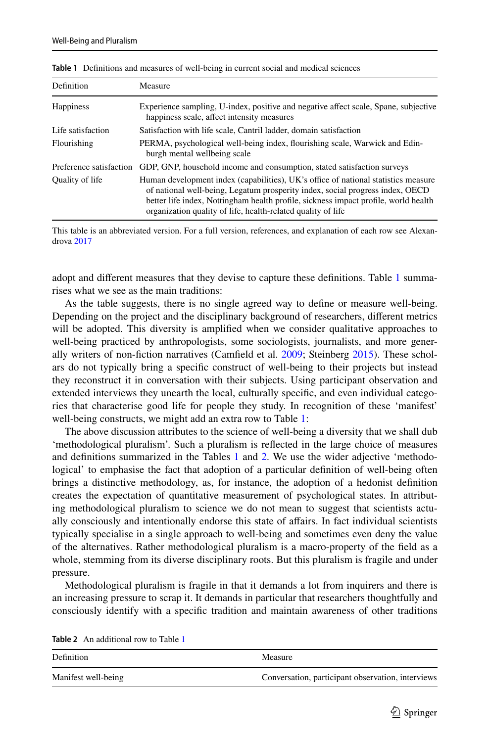| Definition              | Measure                                                                                                                                                                                                                                                                                                                    |
|-------------------------|----------------------------------------------------------------------------------------------------------------------------------------------------------------------------------------------------------------------------------------------------------------------------------------------------------------------------|
| Happiness               | Experience sampling, U-index, positive and negative affect scale, Spane, subjective<br>happiness scale, affect intensity measures                                                                                                                                                                                          |
| Life satisfaction       | Satisfaction with life scale, Cantril ladder, domain satisfaction                                                                                                                                                                                                                                                          |
| Flourishing             | PERMA, psychological well-being index, flourishing scale, Warwick and Edin-<br>burgh mental wellbeing scale                                                                                                                                                                                                                |
| Preference satisfaction | GDP, GNP, household income and consumption, stated satisfaction surveys                                                                                                                                                                                                                                                    |
| Quality of life         | Human development index (capabilities), UK's office of national statistics measure<br>of national well-being, Legatum prosperity index, social progress index, OECD<br>better life index, Nottingham health profile, sickness impact profile, world health<br>organization quality of life, health-related quality of life |

<span id="page-2-0"></span>**Table 1** Defnitions and measures of well-being in current social and medical sciences

This table is an abbreviated version. For a full version, references, and explanation of each row see Alexandrova [2017](#page-20-3)

adopt and diferent measures that they devise to capture these defnitions. Table [1](#page-2-0) summarises what we see as the main traditions:

As the table suggests, there is no single agreed way to defne or measure well-being. Depending on the project and the disciplinary background of researchers, diferent metrics will be adopted. This diversity is amplifed when we consider qualitative approaches to well-being practiced by anthropologists, some sociologists, journalists, and more generally writers of non-fction narratives (Camfeld et al. [2009;](#page-20-2) Steinberg [2015](#page-22-0)). These scholars do not typically bring a specifc construct of well-being to their projects but instead they reconstruct it in conversation with their subjects. Using participant observation and extended interviews they unearth the local, culturally specifc, and even individual categories that characterise good life for people they study. In recognition of these 'manifest' well-being constructs, we might add an extra row to Table [1](#page-2-0):

The above discussion attributes to the science of well-being a diversity that we shall dub 'methodological pluralism'. Such a pluralism is refected in the large choice of measures and defnitions summarized in the Tables [1](#page-2-0) and [2](#page-2-1). We use the wider adjective 'methodological' to emphasise the fact that adoption of a particular defnition of well-being often brings a distinctive methodology, as, for instance, the adoption of a hedonist defnition creates the expectation of quantitative measurement of psychological states. In attributing methodological pluralism to science we do not mean to suggest that scientists actually consciously and intentionally endorse this state of afairs. In fact individual scientists typically specialise in a single approach to well-being and sometimes even deny the value of the alternatives. Rather methodological pluralism is a macro-property of the feld as a whole, stemming from its diverse disciplinary roots. But this pluralism is fragile and under pressure.

Methodological pluralism is fragile in that it demands a lot from inquirers and there is an increasing pressure to scrap it. It demands in particular that researchers thoughtfully and consciously identify with a specifc tradition and maintain awareness of other traditions

| Definition          | Measure                                           |  |
|---------------------|---------------------------------------------------|--|
| Manifest well-being | Conversation, participant observation, interviews |  |

<span id="page-2-1"></span>**Table 2** An additional row to Table [1](#page-2-0)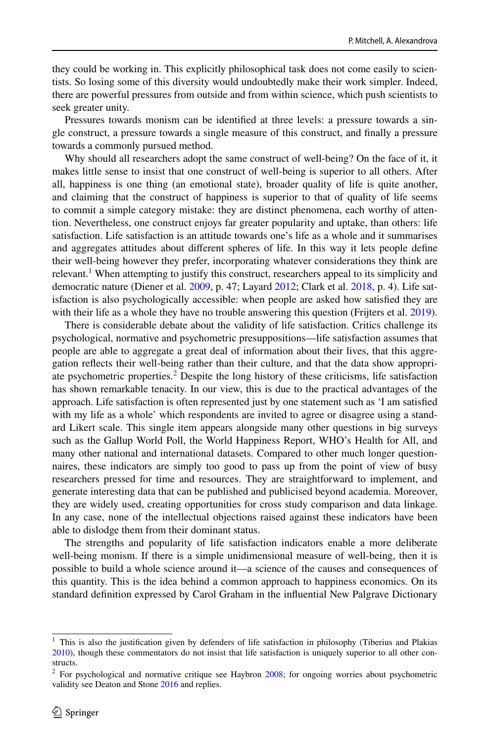they could be working in. This explicitly philosophical task does not come easily to scientists. So losing some of this diversity would undoubtedly make their work simpler. Indeed, there are powerful pressures from outside and from within science, which push scientists to seek greater unity.

Pressures towards monism can be identifed at three levels: a pressure towards a single construct, a pressure towards a single measure of this construct, and fnally a pressure towards a commonly pursued method.

Why should all researchers adopt the same construct of well-being? On the face of it, it makes little sense to insist that one construct of well-being is superior to all others. After all, happiness is one thing (an emotional state), broader quality of life is quite another, and claiming that the construct of happiness is superior to that of quality of life seems to commit a simple category mistake: they are distinct phenomena, each worthy of attention. Nevertheless, one construct enjoys far greater popularity and uptake, than others: life satisfaction. Life satisfaction is an attitude towards one's life as a whole and it summarises and aggregates attitudes about diferent spheres of life. In this way it lets people defne their well-being however they prefer, incorporating whatever considerations they think are relevant.<sup>1</sup> When attempting to justify this construct, researchers appeal to its simplicity and democratic nature (Diener et al. [2009,](#page-21-1) p. 47; Layard [2012;](#page-21-2) Clark et al. [2018,](#page-21-3) p. 4). Life satisfaction is also psychologically accessible: when people are asked how satisfed they are with their life as a whole they have no trouble answering this question (Frijters et al. [2019](#page-21-4)).

There is considerable debate about the validity of life satisfaction. Critics challenge its psychological, normative and psychometric presuppositions—life satisfaction assumes that people are able to aggregate a great deal of information about their lives, that this aggregation refects their well-being rather than their culture, and that the data show appropriate psychometric properties.<sup>2</sup> Despite the long history of these criticisms, life satisfaction has shown remarkable tenacity. In our view, this is due to the practical advantages of the approach. Life satisfaction is often represented just by one statement such as 'I am satisfed with my life as a whole' which respondents are invited to agree or disagree using a standard Likert scale. This single item appears alongside many other questions in big surveys such as the Gallup World Poll, the World Happiness Report, WHO's Health for All, and many other national and international datasets. Compared to other much longer questionnaires, these indicators are simply too good to pass up from the point of view of busy researchers pressed for time and resources. They are straightforward to implement, and generate interesting data that can be published and publicised beyond academia. Moreover, they are widely used, creating opportunities for cross study comparison and data linkage. In any case, none of the intellectual objections raised against these indicators have been able to dislodge them from their dominant status.

The strengths and popularity of life satisfaction indicators enable a more deliberate well-being monism. If there is a simple unidimensional measure of well-being, then it is possible to build a whole science around it—a science of the causes and consequences of this quantity. This is the idea behind a common approach to happiness economics. On its standard defnition expressed by Carol Graham in the infuential New Palgrave Dictionary

<span id="page-3-0"></span><sup>&</sup>lt;sup>1</sup> This is also the justification given by defenders of life satisfaction in philosophy (Tiberius and Plakias [2010\)](#page-22-1), though these commentators do not insist that life satisfaction is uniquely superior to all other constructs.

<span id="page-3-1"></span> $2$  For psychological and normative critique see Haybron [2008;](#page-21-5) for ongoing worries about psychometric validity see Deaton and Stone [2016](#page-21-6) and replies.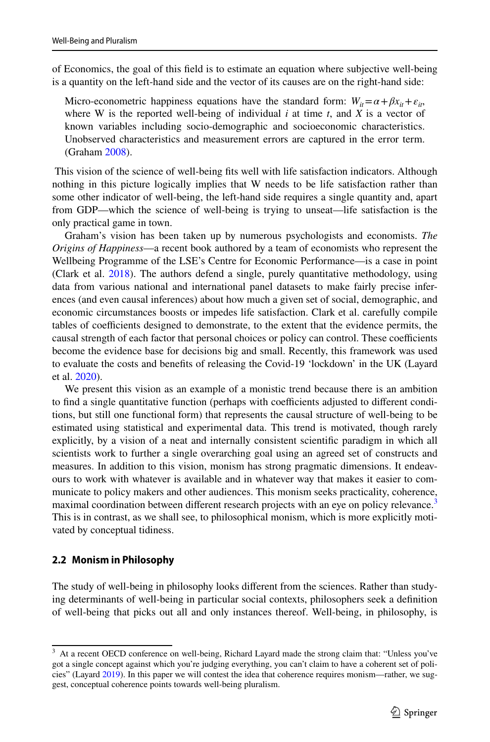of Economics, the goal of this feld is to estimate an equation where subjective well-being is a quantity on the left-hand side and the vector of its causes are on the right-hand side:

Micro-econometric happiness equations have the standard form:  $W_{ii} = \alpha + \beta x_{ii} + \varepsilon_{ii}$ , where W is the reported well-being of individual  $i$  at time  $t$ , and  $X$  is a vector of known variables including socio-demographic and socioeconomic characteristics. Unobserved characteristics and measurement errors are captured in the error term. (Graham [2008](#page-21-7)).

 This vision of the science of well-being fts well with life satisfaction indicators. Although nothing in this picture logically implies that W needs to be life satisfaction rather than some other indicator of well-being, the left-hand side requires a single quantity and, apart from GDP—which the science of well-being is trying to unseat—life satisfaction is the only practical game in town.

Graham's vision has been taken up by numerous psychologists and economists. *The Origins of Happiness*—a recent book authored by a team of economists who represent the Wellbeing Programme of the LSE's Centre for Economic Performance—is a case in point (Clark et al. [2018\)](#page-21-3). The authors defend a single, purely quantitative methodology, using data from various national and international panel datasets to make fairly precise inferences (and even causal inferences) about how much a given set of social, demographic, and economic circumstances boosts or impedes life satisfaction. Clark et al. carefully compile tables of coefficients designed to demonstrate, to the extent that the evidence permits, the causal strength of each factor that personal choices or policy can control. These coefficients become the evidence base for decisions big and small. Recently, this framework was used to evaluate the costs and benefts of releasing the Covid-19 'lockdown' in the UK (Layard et al. [2020\)](#page-21-8).

We present this vision as an example of a monistic trend because there is an ambition to find a single quantitative function (perhaps with coefficients adjusted to different conditions, but still one functional form) that represents the causal structure of well-being to be estimated using statistical and experimental data. This trend is motivated, though rarely explicitly, by a vision of a neat and internally consistent scientifc paradigm in which all scientists work to further a single overarching goal using an agreed set of constructs and measures. In addition to this vision, monism has strong pragmatic dimensions. It endeavours to work with whatever is available and in whatever way that makes it easier to communicate to policy makers and other audiences. This monism seeks practicality, coherence, maximal coordination between different research projects with an eye on policy relevance.<sup>[3](#page-4-0)</sup> This is in contrast, as we shall see, to philosophical monism, which is more explicitly motivated by conceptual tidiness.

### <span id="page-4-1"></span>**2.2 Monism in Philosophy**

The study of well-being in philosophy looks diferent from the sciences. Rather than studying determinants of well-being in particular social contexts, philosophers seek a defnition of well-being that picks out all and only instances thereof. Well-being, in philosophy, is

<span id="page-4-0"></span><sup>3</sup> At a recent OECD conference on well-being, Richard Layard made the strong claim that: "Unless you've got a single concept against which you're judging everything, you can't claim to have a coherent set of policies" (Layard [2019\)](#page-21-9). In this paper we will contest the idea that coherence requires monism—rather, we suggest, conceptual coherence points towards well-being pluralism.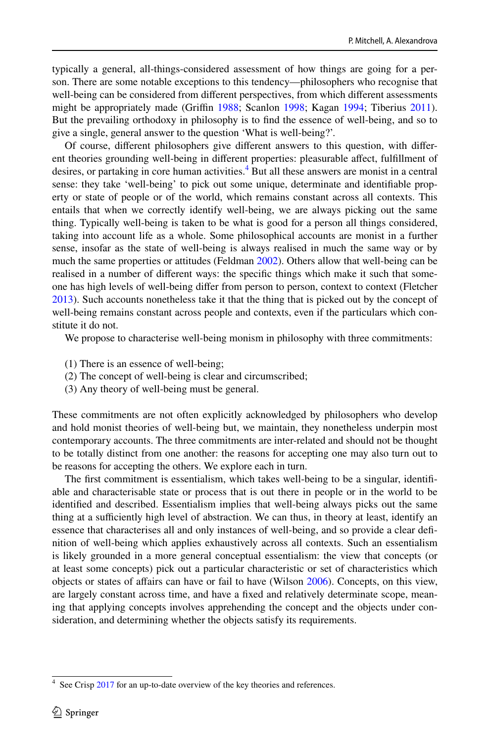typically a general, all-things-considered assessment of how things are going for a person. There are some notable exceptions to this tendency—philosophers who recognise that well-being can be considered from diferent perspectives, from which diferent assessments might be appropriately made (Griffin [1988](#page-21-10); Scanlon [1998](#page-22-2); Kagan [1994;](#page-21-11) Tiberius [2011](#page-22-3)). But the prevailing orthodoxy in philosophy is to fnd the essence of well-being, and so to give a single, general answer to the question 'What is well-being?'.

Of course, diferent philosophers give diferent answers to this question, with diferent theories grounding well-being in diferent properties: pleasurable afect, fulfllment of desires, or partaking in core human activities.<sup>4</sup> But all these answers are monist in a central sense: they take 'well-being' to pick out some unique, determinate and identifable property or state of people or of the world, which remains constant across all contexts. This entails that when we correctly identify well-being, we are always picking out the same thing. Typically well-being is taken to be what is good for a person all things considered, taking into account life as a whole. Some philosophical accounts are monist in a further sense, insofar as the state of well-being is always realised in much the same way or by much the same properties or attitudes (Feldman [2002](#page-21-12)). Others allow that well-being can be realised in a number of diferent ways: the specifc things which make it such that someone has high levels of well-being difer from person to person, context to context (Fletcher [2013\)](#page-21-13). Such accounts nonetheless take it that the thing that is picked out by the concept of well-being remains constant across people and contexts, even if the particulars which constitute it do not.

We propose to characterise well-being monism in philosophy with three commitments:

- (1) There is an essence of well-being;
- (2) The concept of well-being is clear and circumscribed;
- (3) Any theory of well-being must be general.

These commitments are not often explicitly acknowledged by philosophers who develop and hold monist theories of well-being but, we maintain, they nonetheless underpin most contemporary accounts. The three commitments are inter-related and should not be thought to be totally distinct from one another: the reasons for accepting one may also turn out to be reasons for accepting the others. We explore each in turn.

The frst commitment is essentialism, which takes well-being to be a singular, identifable and characterisable state or process that is out there in people or in the world to be identifed and described. Essentialism implies that well-being always picks out the same thing at a sufficiently high level of abstraction. We can thus, in theory at least, identify an essence that characterises all and only instances of well-being, and so provide a clear defnition of well-being which applies exhaustively across all contexts. Such an essentialism is likely grounded in a more general conceptual essentialism: the view that concepts (or at least some concepts) pick out a particular characteristic or set of characteristics which objects or states of afairs can have or fail to have (Wilson [2006](#page-22-4)). Concepts, on this view, are largely constant across time, and have a fxed and relatively determinate scope, meaning that applying concepts involves apprehending the concept and the objects under consideration, and determining whether the objects satisfy its requirements.

<span id="page-5-0"></span><sup>&</sup>lt;sup>4</sup> See Crisp [2017](#page-21-14) for an up-to-date overview of the key theories and references.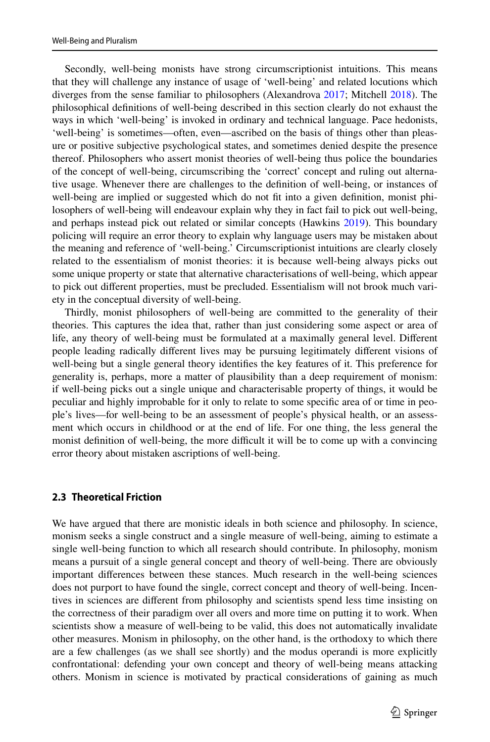Secondly, well-being monists have strong circumscriptionist intuitions. This means that they will challenge any instance of usage of 'well-being' and related locutions which diverges from the sense familiar to philosophers (Alexandrova [2017;](#page-20-3) Mitchell [2018](#page-21-15)). The philosophical defnitions of well-being described in this section clearly do not exhaust the ways in which 'well-being' is invoked in ordinary and technical language. Pace hedonists, 'well-being' is sometimes—often, even—ascribed on the basis of things other than pleasure or positive subjective psychological states, and sometimes denied despite the presence thereof. Philosophers who assert monist theories of well-being thus police the boundaries of the concept of well-being, circumscribing the 'correct' concept and ruling out alternative usage. Whenever there are challenges to the defnition of well-being, or instances of well-being are implied or suggested which do not ft into a given defnition, monist philosophers of well-being will endeavour explain why they in fact fail to pick out well-being, and perhaps instead pick out related or similar concepts (Hawkins [2019](#page-21-16)). This boundary policing will require an error theory to explain why language users may be mistaken about the meaning and reference of 'well-being.' Circumscriptionist intuitions are clearly closely related to the essentialism of monist theories: it is because well-being always picks out some unique property or state that alternative characterisations of well-being, which appear to pick out diferent properties, must be precluded. Essentialism will not brook much variety in the conceptual diversity of well-being.

Thirdly, monist philosophers of well-being are committed to the generality of their theories. This captures the idea that, rather than just considering some aspect or area of life, any theory of well-being must be formulated at a maximally general level. Diferent people leading radically diferent lives may be pursuing legitimately diferent visions of well-being but a single general theory identifes the key features of it. This preference for generality is, perhaps, more a matter of plausibility than a deep requirement of monism: if well-being picks out a single unique and characterisable property of things, it would be peculiar and highly improbable for it only to relate to some specifc area of or time in people's lives—for well-being to be an assessment of people's physical health, or an assessment which occurs in childhood or at the end of life. For one thing, the less general the monist definition of well-being, the more difficult it will be to come up with a convincing error theory about mistaken ascriptions of well-being.

### **2.3 Theoretical Friction**

We have argued that there are monistic ideals in both science and philosophy. In science, monism seeks a single construct and a single measure of well-being, aiming to estimate a single well-being function to which all research should contribute. In philosophy, monism means a pursuit of a single general concept and theory of well-being. There are obviously important diferences between these stances. Much research in the well-being sciences does not purport to have found the single, correct concept and theory of well-being. Incentives in sciences are diferent from philosophy and scientists spend less time insisting on the correctness of their paradigm over all overs and more time on putting it to work. When scientists show a measure of well-being to be valid, this does not automatically invalidate other measures. Monism in philosophy, on the other hand, is the orthodoxy to which there are a few challenges (as we shall see shortly) and the modus operandi is more explicitly confrontational: defending your own concept and theory of well-being means attacking others. Monism in science is motivated by practical considerations of gaining as much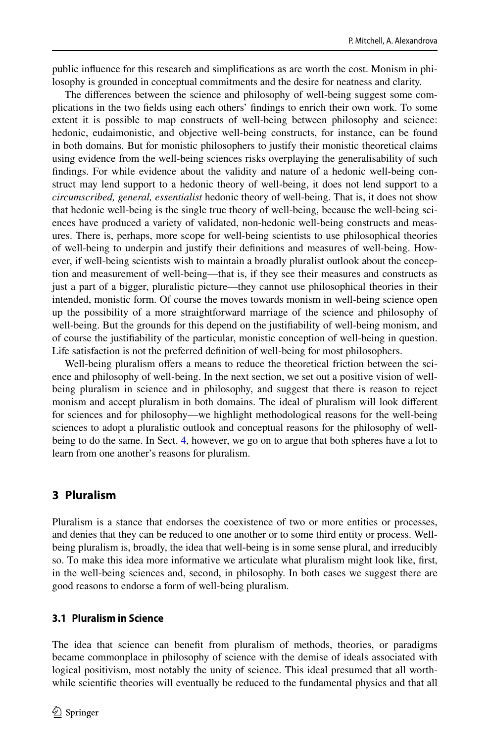public infuence for this research and simplifcations as are worth the cost. Monism in philosophy is grounded in conceptual commitments and the desire for neatness and clarity.

The diferences between the science and philosophy of well-being suggest some complications in the two felds using each others' fndings to enrich their own work. To some extent it is possible to map constructs of well-being between philosophy and science: hedonic, eudaimonistic, and objective well-being constructs, for instance, can be found in both domains. But for monistic philosophers to justify their monistic theoretical claims using evidence from the well-being sciences risks overplaying the generalisability of such fndings. For while evidence about the validity and nature of a hedonic well-being construct may lend support to a hedonic theory of well-being, it does not lend support to a *circumscribed, general, essentialist* hedonic theory of well-being. That is, it does not show that hedonic well-being is the single true theory of well-being, because the well-being sciences have produced a variety of validated, non-hedonic well-being constructs and measures. There is, perhaps, more scope for well-being scientists to use philosophical theories of well-being to underpin and justify their defnitions and measures of well-being. However, if well-being scientists wish to maintain a broadly pluralist outlook about the conception and measurement of well-being—that is, if they see their measures and constructs as just a part of a bigger, pluralistic picture—they cannot use philosophical theories in their intended, monistic form. Of course the moves towards monism in well-being science open up the possibility of a more straightforward marriage of the science and philosophy of well-being. But the grounds for this depend on the justifability of well-being monism, and of course the justifability of the particular, monistic conception of well-being in question. Life satisfaction is not the preferred defnition of well-being for most philosophers.

Well-being pluralism offers a means to reduce the theoretical friction between the science and philosophy of well-being. In the next section, we set out a positive vision of wellbeing pluralism in science and in philosophy, and suggest that there is reason to reject monism and accept pluralism in both domains. The ideal of pluralism will look diferent for sciences and for philosophy—we highlight methodological reasons for the well-being sciences to adopt a pluralistic outlook and conceptual reasons for the philosophy of wellbeing to do the same. In Sect. [4](#page-16-0), however, we go on to argue that both spheres have a lot to learn from one another's reasons for pluralism.

## <span id="page-7-0"></span>**3 Pluralism**

Pluralism is a stance that endorses the coexistence of two or more entities or processes, and denies that they can be reduced to one another or to some third entity or process. Wellbeing pluralism is, broadly, the idea that well-being is in some sense plural, and irreducibly so. To make this idea more informative we articulate what pluralism might look like, frst, in the well-being sciences and, second, in philosophy. In both cases we suggest there are good reasons to endorse a form of well-being pluralism.

## **3.1 Pluralism in Science**

The idea that science can beneft from pluralism of methods, theories, or paradigms became commonplace in philosophy of science with the demise of ideals associated with logical positivism, most notably the unity of science. This ideal presumed that all worthwhile scientifc theories will eventually be reduced to the fundamental physics and that all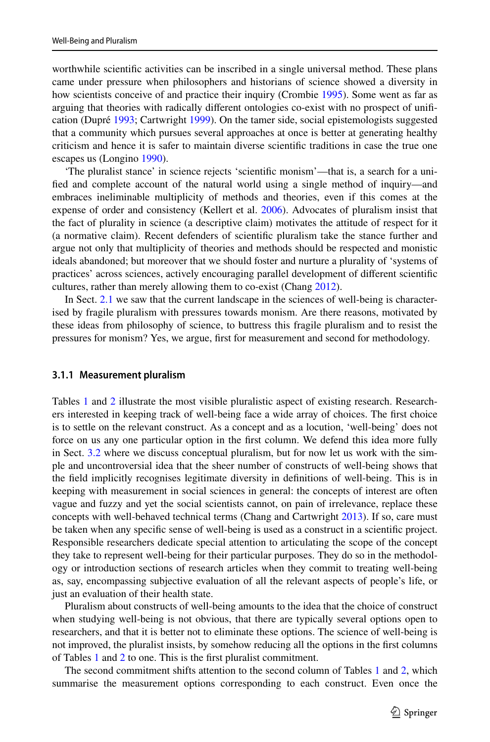worthwhile scientifc activities can be inscribed in a single universal method. These plans came under pressure when philosophers and historians of science showed a diversity in how scientists conceive of and practice their inquiry (Crombie [1995\)](#page-21-17). Some went as far as arguing that theories with radically diferent ontologies co-exist with no prospect of unifcation (Dupré [1993;](#page-21-18) Cartwright [1999\)](#page-20-4). On the tamer side, social epistemologists suggested that a community which pursues several approaches at once is better at generating healthy criticism and hence it is safer to maintain diverse scientifc traditions in case the true one escapes us (Longino [1990\)](#page-21-19).

'The pluralist stance' in science rejects 'scientifc monism'—that is, a search for a unifed and complete account of the natural world using a single method of inquiry—and embraces ineliminable multiplicity of methods and theories, even if this comes at the expense of order and consistency (Kellert et al. [2006](#page-21-20)). Advocates of pluralism insist that the fact of plurality in science (a descriptive claim) motivates the attitude of respect for it (a normative claim). Recent defenders of scientifc pluralism take the stance further and argue not only that multiplicity of theories and methods should be respected and monistic ideals abandoned; but moreover that we should foster and nurture a plurality of 'systems of practices' across sciences, actively encouraging parallel development of diferent scientifc cultures, rather than merely allowing them to co-exist (Chang [2012\)](#page-20-5).

In Sect. [2.1](#page-1-1) we saw that the current landscape in the sciences of well-being is characterised by fragile pluralism with pressures towards monism. Are there reasons, motivated by these ideas from philosophy of science, to buttress this fragile pluralism and to resist the pressures for monism? Yes, we argue, frst for measurement and second for methodology.

#### **3.1.1 Measurement pluralism**

Tables [1](#page-2-0) and [2](#page-2-1) illustrate the most visible pluralistic aspect of existing research. Researchers interested in keeping track of well-being face a wide array of choices. The frst choice is to settle on the relevant construct. As a concept and as a locution, 'well-being' does not force on us any one particular option in the frst column. We defend this idea more fully in Sect. [3.2](#page-11-0) where we discuss conceptual pluralism, but for now let us work with the simple and uncontroversial idea that the sheer number of constructs of well-being shows that the feld implicitly recognises legitimate diversity in defnitions of well-being. This is in keeping with measurement in social sciences in general: the concepts of interest are often vague and fuzzy and yet the social scientists cannot, on pain of irrelevance, replace these concepts with well-behaved technical terms (Chang and Cartwright [2013\)](#page-21-21). If so, care must be taken when any specifc sense of well-being is used as a construct in a scientifc project. Responsible researchers dedicate special attention to articulating the scope of the concept they take to represent well-being for their particular purposes. They do so in the methodology or introduction sections of research articles when they commit to treating well-being as, say, encompassing subjective evaluation of all the relevant aspects of people's life, or just an evaluation of their health state.

Pluralism about constructs of well-being amounts to the idea that the choice of construct when studying well-being is not obvious, that there are typically several options open to researchers, and that it is better not to eliminate these options. The science of well-being is not improved, the pluralist insists, by somehow reducing all the options in the frst columns of Tables [1](#page-2-0) and [2](#page-2-1) to one. This is the frst pluralist commitment.

The second commitment shifts attention to the second column of Tables [1](#page-2-0) and [2,](#page-2-1) which summarise the measurement options corresponding to each construct. Even once the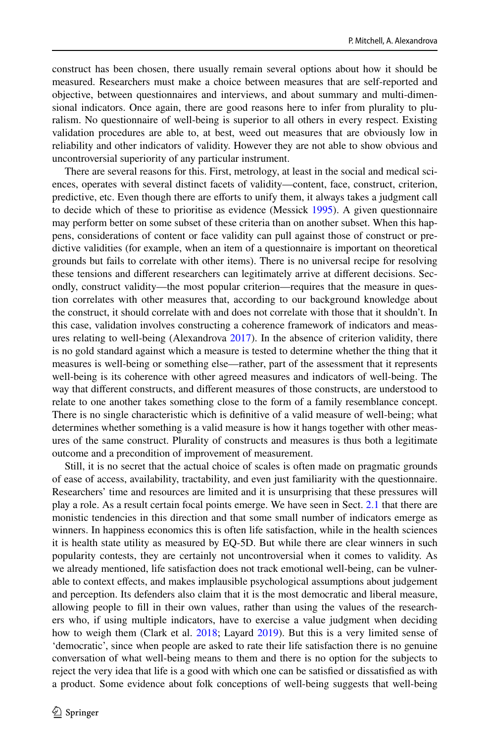construct has been chosen, there usually remain several options about how it should be measured. Researchers must make a choice between measures that are self-reported and objective, between questionnaires and interviews, and about summary and multi-dimensional indicators. Once again, there are good reasons here to infer from plurality to pluralism. No questionnaire of well-being is superior to all others in every respect. Existing validation procedures are able to, at best, weed out measures that are obviously low in reliability and other indicators of validity. However they are not able to show obvious and uncontroversial superiority of any particular instrument.

There are several reasons for this. First, metrology, at least in the social and medical sciences, operates with several distinct facets of validity—content, face, construct, criterion, predictive, etc. Even though there are eforts to unify them, it always takes a judgment call to decide which of these to prioritise as evidence (Messick [1995\)](#page-21-22). A given questionnaire may perform better on some subset of these criteria than on another subset. When this happens, considerations of content or face validity can pull against those of construct or predictive validities (for example, when an item of a questionnaire is important on theoretical grounds but fails to correlate with other items). There is no universal recipe for resolving these tensions and diferent researchers can legitimately arrive at diferent decisions. Secondly, construct validity—the most popular criterion—requires that the measure in question correlates with other measures that, according to our background knowledge about the construct, it should correlate with and does not correlate with those that it shouldn't. In this case, validation involves constructing a coherence framework of indicators and measures relating to well-being (Alexandrova [2017](#page-20-3)). In the absence of criterion validity, there is no gold standard against which a measure is tested to determine whether the thing that it measures is well-being or something else—rather, part of the assessment that it represents well-being is its coherence with other agreed measures and indicators of well-being. The way that diferent constructs, and diferent measures of those constructs, are understood to relate to one another takes something close to the form of a family resemblance concept. There is no single characteristic which is defnitive of a valid measure of well-being; what determines whether something is a valid measure is how it hangs together with other measures of the same construct. Plurality of constructs and measures is thus both a legitimate outcome and a precondition of improvement of measurement.

Still, it is no secret that the actual choice of scales is often made on pragmatic grounds of ease of access, availability, tractability, and even just familiarity with the questionnaire. Researchers' time and resources are limited and it is unsurprising that these pressures will play a role. As a result certain focal points emerge. We have seen in Sect. [2.1](#page-1-1) that there are monistic tendencies in this direction and that some small number of indicators emerge as winners. In happiness economics this is often life satisfaction, while in the health sciences it is health state utility as measured by EQ-5D. But while there are clear winners in such popularity contests, they are certainly not uncontroversial when it comes to validity. As we already mentioned, life satisfaction does not track emotional well-being, can be vulnerable to context effects, and makes implausible psychological assumptions about judgement and perception. Its defenders also claim that it is the most democratic and liberal measure, allowing people to fll in their own values, rather than using the values of the researchers who, if using multiple indicators, have to exercise a value judgment when deciding how to weigh them (Clark et al. [2018](#page-21-3); Layard [2019\)](#page-21-9). But this is a very limited sense of 'democratic', since when people are asked to rate their life satisfaction there is no genuine conversation of what well-being means to them and there is no option for the subjects to reject the very idea that life is a good with which one can be satisfed or dissatisfed as with a product. Some evidence about folk conceptions of well-being suggests that well-being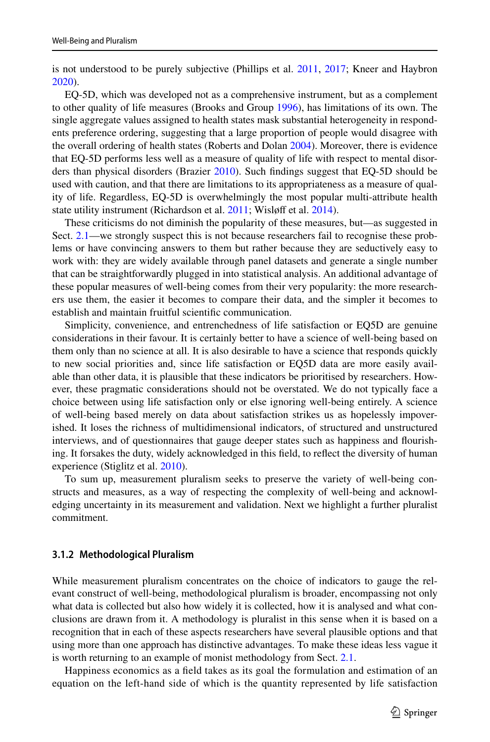is not understood to be purely subjective (Phillips et al. [2011,](#page-21-23) [2017](#page-21-24); Kneer and Haybron [2020\)](#page-21-25).

EQ-5D, which was developed not as a comprehensive instrument, but as a complement to other quality of life measures (Brooks and Group [1996](#page-20-6)), has limitations of its own. The single aggregate values assigned to health states mask substantial heterogeneity in respondents preference ordering, suggesting that a large proportion of people would disagree with the overall ordering of health states (Roberts and Dolan [2004](#page-22-5)). Moreover, there is evidence that EQ-5D performs less well as a measure of quality of life with respect to mental disorders than physical disorders (Brazier [2010](#page-20-7)). Such fndings suggest that EQ-5D should be used with caution, and that there are limitations to its appropriateness as a measure of quality of life. Regardless, EQ-5D is overwhelmingly the most popular multi-attribute health state utility instrument (Richardson et al. [2011](#page-22-6); Wisløff et al. [2014\)](#page-22-7).

These criticisms do not diminish the popularity of these measures, but—as suggested in Sect. [2.1](#page-1-1)—we strongly suspect this is not because researchers fail to recognise these problems or have convincing answers to them but rather because they are seductively easy to work with: they are widely available through panel datasets and generate a single number that can be straightforwardly plugged in into statistical analysis. An additional advantage of these popular measures of well-being comes from their very popularity: the more researchers use them, the easier it becomes to compare their data, and the simpler it becomes to establish and maintain fruitful scientifc communication.

Simplicity, convenience, and entrenchedness of life satisfaction or EQ5D are genuine considerations in their favour. It is certainly better to have a science of well-being based on them only than no science at all. It is also desirable to have a science that responds quickly to new social priorities and, since life satisfaction or EQ5D data are more easily available than other data, it is plausible that these indicators be prioritised by researchers. However, these pragmatic considerations should not be overstated. We do not typically face a choice between using life satisfaction only or else ignoring well-being entirely. A science of well-being based merely on data about satisfaction strikes us as hopelessly impoverished. It loses the richness of multidimensional indicators, of structured and unstructured interviews, and of questionnaires that gauge deeper states such as happiness and fourishing. It forsakes the duty, widely acknowledged in this feld, to refect the diversity of human experience (Stiglitz et al. [2010\)](#page-22-8).

To sum up, measurement pluralism seeks to preserve the variety of well-being constructs and measures, as a way of respecting the complexity of well-being and acknowledging uncertainty in its measurement and validation. Next we highlight a further pluralist commitment.

#### **3.1.2 Methodological Pluralism**

While measurement pluralism concentrates on the choice of indicators to gauge the relevant construct of well-being, methodological pluralism is broader, encompassing not only what data is collected but also how widely it is collected, how it is analysed and what conclusions are drawn from it. A methodology is pluralist in this sense when it is based on a recognition that in each of these aspects researchers have several plausible options and that using more than one approach has distinctive advantages. To make these ideas less vague it is worth returning to an example of monist methodology from Sect. [2.1](#page-1-1).

Happiness economics as a feld takes as its goal the formulation and estimation of an equation on the left-hand side of which is the quantity represented by life satisfaction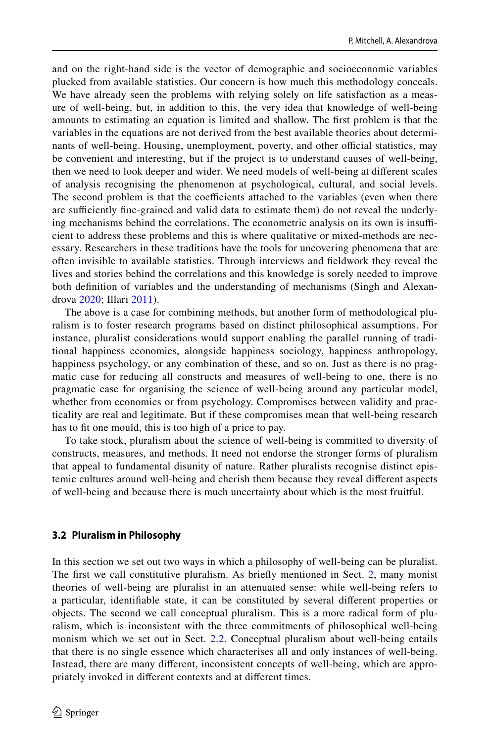and on the right-hand side is the vector of demographic and socioeconomic variables plucked from available statistics. Our concern is how much this methodology conceals. We have already seen the problems with relying solely on life satisfaction as a measure of well-being, but, in addition to this, the very idea that knowledge of well-being amounts to estimating an equation is limited and shallow. The frst problem is that the variables in the equations are not derived from the best available theories about determinants of well-being. Housing, unemployment, poverty, and other official statistics, may be convenient and interesting, but if the project is to understand causes of well-being, then we need to look deeper and wider. We need models of well-being at diferent scales of analysis recognising the phenomenon at psychological, cultural, and social levels. The second problem is that the coefficients attached to the variables (even when there are sufficiently fine-grained and valid data to estimate them) do not reveal the underlying mechanisms behind the correlations. The econometric analysis on its own is insufficient to address these problems and this is where qualitative or mixed-methods are necessary. Researchers in these traditions have the tools for uncovering phenomena that are often invisible to available statistics. Through interviews and feldwork they reveal the lives and stories behind the correlations and this knowledge is sorely needed to improve both defnition of variables and the understanding of mechanisms (Singh and Alexandrova [2020;](#page-22-9) Illari [2011](#page-21-26)).

The above is a case for combining methods, but another form of methodological pluralism is to foster research programs based on distinct philosophical assumptions. For instance, pluralist considerations would support enabling the parallel running of traditional happiness economics, alongside happiness sociology, happiness anthropology, happiness psychology, or any combination of these, and so on. Just as there is no pragmatic case for reducing all constructs and measures of well-being to one, there is no pragmatic case for organising the science of well-being around any particular model, whether from economics or from psychology. Compromises between validity and practicality are real and legitimate. But if these compromises mean that well-being research has to ft one mould, this is too high of a price to pay.

To take stock, pluralism about the science of well-being is committed to diversity of constructs, measures, and methods. It need not endorse the stronger forms of pluralism that appeal to fundamental disunity of nature. Rather pluralists recognise distinct epistemic cultures around well-being and cherish them because they reveal diferent aspects of well-being and because there is much uncertainty about which is the most fruitful.

#### <span id="page-11-0"></span>**3.2 Pluralism in Philosophy**

In this section we set out two ways in which a philosophy of well-being can be pluralist. The frst we call constitutive pluralism. As briefy mentioned in Sect. [2](#page-1-0), many monist theories of well-being are pluralist in an attenuated sense: while well-being refers to a particular, identifable state, it can be constituted by several diferent properties or objects. The second we call conceptual pluralism. This is a more radical form of pluralism, which is inconsistent with the three commitments of philosophical well-being monism which we set out in Sect. [2.2](#page-4-1). Conceptual pluralism about well-being entails that there is no single essence which characterises all and only instances of well-being. Instead, there are many diferent, inconsistent concepts of well-being, which are appropriately invoked in diferent contexts and at diferent times.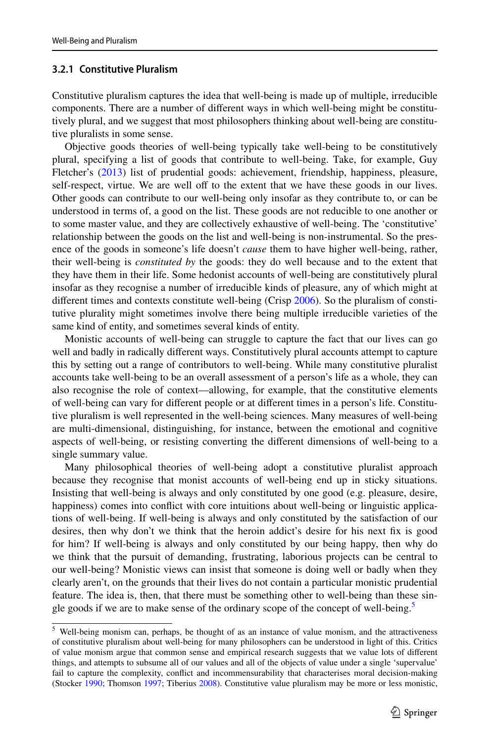### <span id="page-12-1"></span>**3.2.1 Constitutive Pluralism**

Constitutive pluralism captures the idea that well-being is made up of multiple, irreducible components. There are a number of diferent ways in which well-being might be constitutively plural, and we suggest that most philosophers thinking about well-being are constitutive pluralists in some sense.

Objective goods theories of well-being typically take well-being to be constitutively plural, specifying a list of goods that contribute to well-being. Take, for example, Guy Fletcher's ([2013\)](#page-21-13) list of prudential goods: achievement, friendship, happiness, pleasure, self-respect, virtue. We are well off to the extent that we have these goods in our lives. Other goods can contribute to our well-being only insofar as they contribute to, or can be understood in terms of, a good on the list. These goods are not reducible to one another or to some master value, and they are collectively exhaustive of well-being. The 'constitutive' relationship between the goods on the list and well-being is non-instrumental. So the presence of the goods in someone's life doesn't *cause* them to have higher well-being, rather, their well-being is *constituted by* the goods: they do well because and to the extent that they have them in their life. Some hedonist accounts of well-being are constitutively plural insofar as they recognise a number of irreducible kinds of pleasure, any of which might at diferent times and contexts constitute well-being (Crisp [2006\)](#page-21-27). So the pluralism of constitutive plurality might sometimes involve there being multiple irreducible varieties of the same kind of entity, and sometimes several kinds of entity.

Monistic accounts of well-being can struggle to capture the fact that our lives can go well and badly in radically diferent ways. Constitutively plural accounts attempt to capture this by setting out a range of contributors to well-being. While many constitutive pluralist accounts take well-being to be an overall assessment of a person's life as a whole, they can also recognise the role of context—allowing, for example, that the constitutive elements of well-being can vary for diferent people or at diferent times in a person's life. Constitutive pluralism is well represented in the well-being sciences. Many measures of well-being are multi-dimensional, distinguishing, for instance, between the emotional and cognitive aspects of well-being, or resisting converting the diferent dimensions of well-being to a single summary value.

Many philosophical theories of well-being adopt a constitutive pluralist approach because they recognise that monist accounts of well-being end up in sticky situations. Insisting that well-being is always and only constituted by one good (e.g. pleasure, desire, happiness) comes into confict with core intuitions about well-being or linguistic applications of well-being. If well-being is always and only constituted by the satisfaction of our desires, then why don't we think that the heroin addict's desire for his next fx is good for him? If well-being is always and only constituted by our being happy, then why do we think that the pursuit of demanding, frustrating, laborious projects can be central to our well-being? Monistic views can insist that someone is doing well or badly when they clearly aren't, on the grounds that their lives do not contain a particular monistic prudential feature. The idea is, then, that there must be something other to well-being than these single goods if we are to make sense of the ordinary scope of the concept of well-being.<sup>5</sup>

<span id="page-12-0"></span><sup>5</sup> Well-being monism can, perhaps, be thought of as an instance of value monism, and the attractiveness of constitutive pluralism about well-being for many philosophers can be understood in light of this. Critics of value monism argue that common sense and empirical research suggests that we value lots of diferent things, and attempts to subsume all of our values and all of the objects of value under a single 'supervalue' fail to capture the complexity, confict and incommensurability that characterises moral decision-making (Stocker [1990;](#page-22-10) Thomson [1997](#page-22-11); Tiberius [2008\)](#page-22-12). Constitutive value pluralism may be more or less monistic,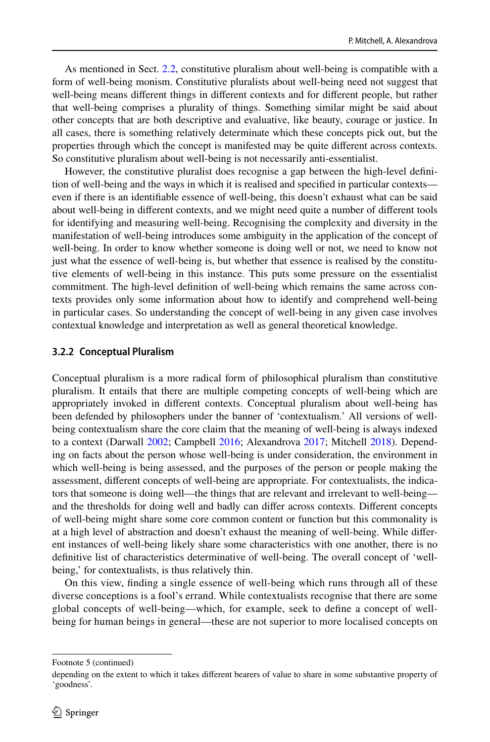As mentioned in Sect. [2.2,](#page-4-1) constitutive pluralism about well-being is compatible with a form of well-being monism. Constitutive pluralists about well-being need not suggest that well-being means diferent things in diferent contexts and for diferent people, but rather that well-being comprises a plurality of things. Something similar might be said about other concepts that are both descriptive and evaluative, like beauty, courage or justice. In all cases, there is something relatively determinate which these concepts pick out, but the properties through which the concept is manifested may be quite diferent across contexts. So constitutive pluralism about well-being is not necessarily anti-essentialist.

However, the constitutive pluralist does recognise a gap between the high-level defnition of well-being and the ways in which it is realised and specifed in particular contexts even if there is an identifable essence of well-being, this doesn't exhaust what can be said about well-being in diferent contexts, and we might need quite a number of diferent tools for identifying and measuring well-being. Recognising the complexity and diversity in the manifestation of well-being introduces some ambiguity in the application of the concept of well-being. In order to know whether someone is doing well or not, we need to know not just what the essence of well-being is, but whether that essence is realised by the constitutive elements of well-being in this instance. This puts some pressure on the essentialist commitment. The high-level defnition of well-being which remains the same across contexts provides only some information about how to identify and comprehend well-being in particular cases. So understanding the concept of well-being in any given case involves contextual knowledge and interpretation as well as general theoretical knowledge.

### **3.2.2 Conceptual Pluralism**

Conceptual pluralism is a more radical form of philosophical pluralism than constitutive pluralism. It entails that there are multiple competing concepts of well-being which are appropriately invoked in diferent contexts. Conceptual pluralism about well-being has been defended by philosophers under the banner of 'contextualism.' All versions of wellbeing contextualism share the core claim that the meaning of well-being is always indexed to a context (Darwall [2002;](#page-21-28) Campbell [2016;](#page-20-8) Alexandrova [2017;](#page-20-3) Mitchell [2018](#page-21-15)). Depending on facts about the person whose well-being is under consideration, the environment in which well-being is being assessed, and the purposes of the person or people making the assessment, diferent concepts of well-being are appropriate. For contextualists, the indicators that someone is doing well—the things that are relevant and irrelevant to well-being and the thresholds for doing well and badly can difer across contexts. Diferent concepts of well-being might share some core common content or function but this commonality is at a high level of abstraction and doesn't exhaust the meaning of well-being. While diferent instances of well-being likely share some characteristics with one another, there is no defnitive list of characteristics determinative of well-being. The overall concept of 'wellbeing,' for contextualists, is thus relatively thin.

On this view, fnding a single essence of well-being which runs through all of these diverse conceptions is a fool's errand. While contextualists recognise that there are some global concepts of well-being—which, for example, seek to defne a concept of wellbeing for human beings in general—these are not superior to more localised concepts on

Footnote 5 (continued)

depending on the extent to which it takes diferent bearers of value to share in some substantive property of 'goodness'.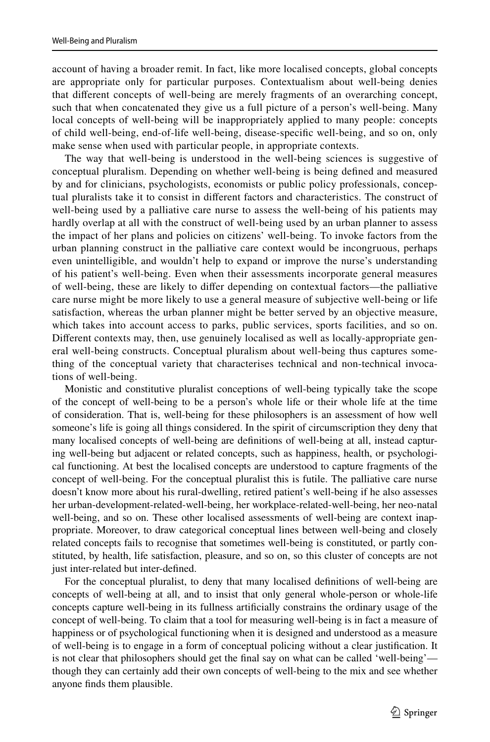account of having a broader remit. In fact, like more localised concepts, global concepts are appropriate only for particular purposes. Contextualism about well-being denies that diferent concepts of well-being are merely fragments of an overarching concept, such that when concatenated they give us a full picture of a person's well-being. Many local concepts of well-being will be inappropriately applied to many people: concepts of child well-being, end-of-life well-being, disease-specifc well-being, and so on, only make sense when used with particular people, in appropriate contexts.

The way that well-being is understood in the well-being sciences is suggestive of conceptual pluralism. Depending on whether well-being is being defned and measured by and for clinicians, psychologists, economists or public policy professionals, conceptual pluralists take it to consist in diferent factors and characteristics. The construct of well-being used by a palliative care nurse to assess the well-being of his patients may hardly overlap at all with the construct of well-being used by an urban planner to assess the impact of her plans and policies on citizens' well-being. To invoke factors from the urban planning construct in the palliative care context would be incongruous, perhaps even unintelligible, and wouldn't help to expand or improve the nurse's understanding of his patient's well-being. Even when their assessments incorporate general measures of well-being, these are likely to difer depending on contextual factors—the palliative care nurse might be more likely to use a general measure of subjective well-being or life satisfaction, whereas the urban planner might be better served by an objective measure, which takes into account access to parks, public services, sports facilities, and so on. Diferent contexts may, then, use genuinely localised as well as locally-appropriate general well-being constructs. Conceptual pluralism about well-being thus captures something of the conceptual variety that characterises technical and non-technical invocations of well-being.

Monistic and constitutive pluralist conceptions of well-being typically take the scope of the concept of well-being to be a person's whole life or their whole life at the time of consideration. That is, well-being for these philosophers is an assessment of how well someone's life is going all things considered. In the spirit of circumscription they deny that many localised concepts of well-being are defnitions of well-being at all, instead capturing well-being but adjacent or related concepts, such as happiness, health, or psychological functioning. At best the localised concepts are understood to capture fragments of the concept of well-being. For the conceptual pluralist this is futile. The palliative care nurse doesn't know more about his rural-dwelling, retired patient's well-being if he also assesses her urban-development-related-well-being, her workplace-related-well-being, her neo-natal well-being, and so on. These other localised assessments of well-being are context inappropriate. Moreover, to draw categorical conceptual lines between well-being and closely related concepts fails to recognise that sometimes well-being is constituted, or partly constituted, by health, life satisfaction, pleasure, and so on, so this cluster of concepts are not just inter-related but inter-defned.

For the conceptual pluralist, to deny that many localised defnitions of well-being are concepts of well-being at all, and to insist that only general whole-person or whole-life concepts capture well-being in its fullness artifcially constrains the ordinary usage of the concept of well-being. To claim that a tool for measuring well-being is in fact a measure of happiness or of psychological functioning when it is designed and understood as a measure of well-being is to engage in a form of conceptual policing without a clear justifcation. It is not clear that philosophers should get the fnal say on what can be called 'well-being' though they can certainly add their own concepts of well-being to the mix and see whether anyone fnds them plausible.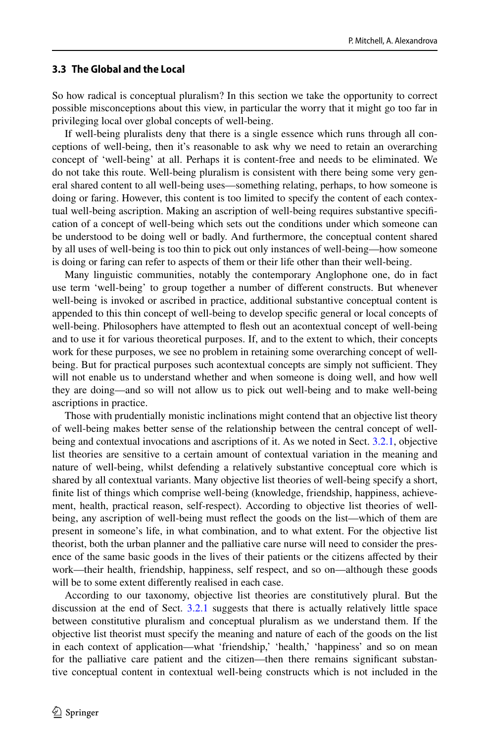### **3.3 The Global and the Local**

So how radical is conceptual pluralism? In this section we take the opportunity to correct possible misconceptions about this view, in particular the worry that it might go too far in privileging local over global concepts of well-being.

If well-being pluralists deny that there is a single essence which runs through all conceptions of well-being, then it's reasonable to ask why we need to retain an overarching concept of 'well-being' at all. Perhaps it is content-free and needs to be eliminated. We do not take this route. Well-being pluralism is consistent with there being some very general shared content to all well-being uses—something relating, perhaps, to how someone is doing or faring. However, this content is too limited to specify the content of each contextual well-being ascription. Making an ascription of well-being requires substantive specifcation of a concept of well-being which sets out the conditions under which someone can be understood to be doing well or badly. And furthermore, the conceptual content shared by all uses of well-being is too thin to pick out only instances of well-being—how someone is doing or faring can refer to aspects of them or their life other than their well-being.

Many linguistic communities, notably the contemporary Anglophone one, do in fact use term 'well-being' to group together a number of diferent constructs. But whenever well-being is invoked or ascribed in practice, additional substantive conceptual content is appended to this thin concept of well-being to develop specifc general or local concepts of well-being. Philosophers have attempted to fesh out an acontextual concept of well-being and to use it for various theoretical purposes. If, and to the extent to which, their concepts work for these purposes, we see no problem in retaining some overarching concept of wellbeing. But for practical purposes such acontextual concepts are simply not sufficient. They will not enable us to understand whether and when someone is doing well, and how well they are doing—and so will not allow us to pick out well-being and to make well-being ascriptions in practice.

Those with prudentially monistic inclinations might contend that an objective list theory of well-being makes better sense of the relationship between the central concept of wellbeing and contextual invocations and ascriptions of it. As we noted in Sect. [3.2.1](#page-12-1), objective list theories are sensitive to a certain amount of contextual variation in the meaning and nature of well-being, whilst defending a relatively substantive conceptual core which is shared by all contextual variants. Many objective list theories of well-being specify a short, fnite list of things which comprise well-being (knowledge, friendship, happiness, achievement, health, practical reason, self-respect). According to objective list theories of wellbeing, any ascription of well-being must refect the goods on the list—which of them are present in someone's life, in what combination, and to what extent. For the objective list theorist, both the urban planner and the palliative care nurse will need to consider the presence of the same basic goods in the lives of their patients or the citizens afected by their work—their health, friendship, happiness, self respect, and so on—although these goods will be to some extent diferently realised in each case.

According to our taxonomy, objective list theories are constitutively plural. But the discussion at the end of Sect. [3.2.1](#page-12-1) suggests that there is actually relatively little space between constitutive pluralism and conceptual pluralism as we understand them. If the objective list theorist must specify the meaning and nature of each of the goods on the list in each context of application—what 'friendship,' 'health,' 'happiness' and so on mean for the palliative care patient and the citizen—then there remains signifcant substantive conceptual content in contextual well-being constructs which is not included in the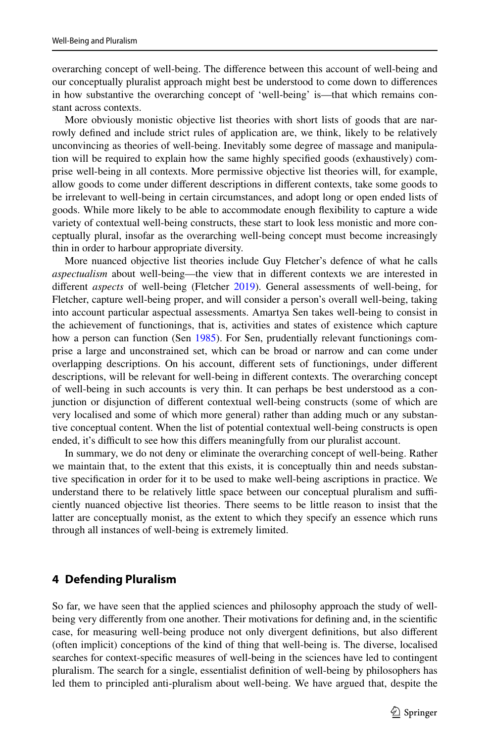overarching concept of well-being. The diference between this account of well-being and our conceptually pluralist approach might best be understood to come down to diferences in how substantive the overarching concept of 'well-being' is—that which remains constant across contexts.

More obviously monistic objective list theories with short lists of goods that are narrowly defned and include strict rules of application are, we think, likely to be relatively unconvincing as theories of well-being. Inevitably some degree of massage and manipulation will be required to explain how the same highly specifed goods (exhaustively) comprise well-being in all contexts. More permissive objective list theories will, for example, allow goods to come under diferent descriptions in diferent contexts, take some goods to be irrelevant to well-being in certain circumstances, and adopt long or open ended lists of goods. While more likely to be able to accommodate enough fexibility to capture a wide variety of contextual well-being constructs, these start to look less monistic and more conceptually plural, insofar as the overarching well-being concept must become increasingly thin in order to harbour appropriate diversity.

More nuanced objective list theories include Guy Fletcher's defence of what he calls *aspectualism* about well-being—the view that in diferent contexts we are interested in diferent *aspects* of well-being (Fletcher [2019\)](#page-21-29). General assessments of well-being, for Fletcher, capture well-being proper, and will consider a person's overall well-being, taking into account particular aspectual assessments. Amartya Sen takes well-being to consist in the achievement of functionings, that is, activities and states of existence which capture how a person can function (Sen [1985\)](#page-22-13). For Sen, prudentially relevant functionings comprise a large and unconstrained set, which can be broad or narrow and can come under overlapping descriptions. On his account, diferent sets of functionings, under diferent descriptions, will be relevant for well-being in diferent contexts. The overarching concept of well-being in such accounts is very thin. It can perhaps be best understood as a conjunction or disjunction of diferent contextual well-being constructs (some of which are very localised and some of which more general) rather than adding much or any substantive conceptual content. When the list of potential contextual well-being constructs is open ended, it's difficult to see how this differs meaningfully from our pluralist account.

In summary, we do not deny or eliminate the overarching concept of well-being. Rather we maintain that, to the extent that this exists, it is conceptually thin and needs substantive specifcation in order for it to be used to make well-being ascriptions in practice. We understand there to be relatively little space between our conceptual pluralism and sufficiently nuanced objective list theories. There seems to be little reason to insist that the latter are conceptually monist, as the extent to which they specify an essence which runs through all instances of well-being is extremely limited.

## <span id="page-16-0"></span>**4 Defending Pluralism**

So far, we have seen that the applied sciences and philosophy approach the study of wellbeing very diferently from one another. Their motivations for defning and, in the scientifc case, for measuring well-being produce not only divergent defnitions, but also diferent (often implicit) conceptions of the kind of thing that well-being is. The diverse, localised searches for context-specifc measures of well-being in the sciences have led to contingent pluralism. The search for a single, essentialist defnition of well-being by philosophers has led them to principled anti-pluralism about well-being. We have argued that, despite the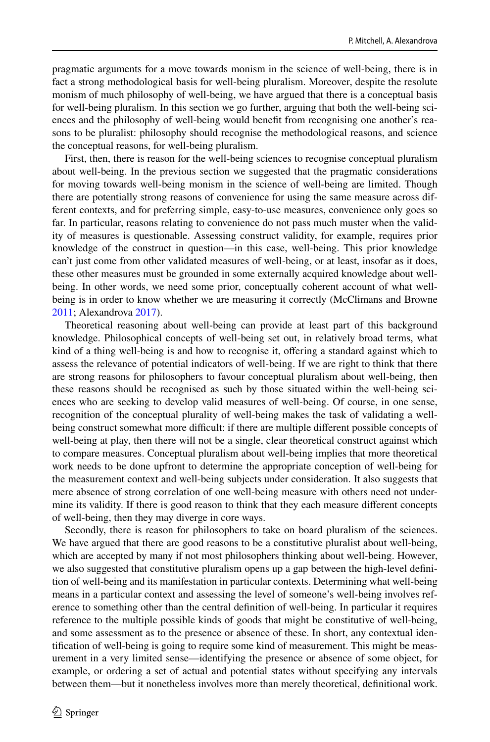pragmatic arguments for a move towards monism in the science of well-being, there is in fact a strong methodological basis for well-being pluralism. Moreover, despite the resolute monism of much philosophy of well-being, we have argued that there is a conceptual basis for well-being pluralism. In this section we go further, arguing that both the well-being sciences and the philosophy of well-being would beneft from recognising one another's reasons to be pluralist: philosophy should recognise the methodological reasons, and science the conceptual reasons, for well-being pluralism.

First, then, there is reason for the well-being sciences to recognise conceptual pluralism about well-being. In the previous section we suggested that the pragmatic considerations for moving towards well-being monism in the science of well-being are limited. Though there are potentially strong reasons of convenience for using the same measure across different contexts, and for preferring simple, easy-to-use measures, convenience only goes so far. In particular, reasons relating to convenience do not pass much muster when the validity of measures is questionable. Assessing construct validity, for example, requires prior knowledge of the construct in question—in this case, well-being. This prior knowledge can't just come from other validated measures of well-being, or at least, insofar as it does, these other measures must be grounded in some externally acquired knowledge about wellbeing. In other words, we need some prior, conceptually coherent account of what wellbeing is in order to know whether we are measuring it correctly (McClimans and Browne [2011;](#page-21-30) Alexandrova [2017](#page-20-3)).

Theoretical reasoning about well-being can provide at least part of this background knowledge. Philosophical concepts of well-being set out, in relatively broad terms, what kind of a thing well-being is and how to recognise it, ofering a standard against which to assess the relevance of potential indicators of well-being. If we are right to think that there are strong reasons for philosophers to favour conceptual pluralism about well-being, then these reasons should be recognised as such by those situated within the well-being sciences who are seeking to develop valid measures of well-being. Of course, in one sense, recognition of the conceptual plurality of well-being makes the task of validating a wellbeing construct somewhat more difficult: if there are multiple different possible concepts of well-being at play, then there will not be a single, clear theoretical construct against which to compare measures. Conceptual pluralism about well-being implies that more theoretical work needs to be done upfront to determine the appropriate conception of well-being for the measurement context and well-being subjects under consideration. It also suggests that mere absence of strong correlation of one well-being measure with others need not undermine its validity. If there is good reason to think that they each measure diferent concepts of well-being, then they may diverge in core ways.

Secondly, there is reason for philosophers to take on board pluralism of the sciences. We have argued that there are good reasons to be a constitutive pluralist about well-being, which are accepted by many if not most philosophers thinking about well-being. However, we also suggested that constitutive pluralism opens up a gap between the high-level defnition of well-being and its manifestation in particular contexts. Determining what well-being means in a particular context and assessing the level of someone's well-being involves reference to something other than the central defnition of well-being. In particular it requires reference to the multiple possible kinds of goods that might be constitutive of well-being, and some assessment as to the presence or absence of these. In short, any contextual identifcation of well-being is going to require some kind of measurement. This might be measurement in a very limited sense—identifying the presence or absence of some object, for example, or ordering a set of actual and potential states without specifying any intervals between them—but it nonetheless involves more than merely theoretical, defnitional work.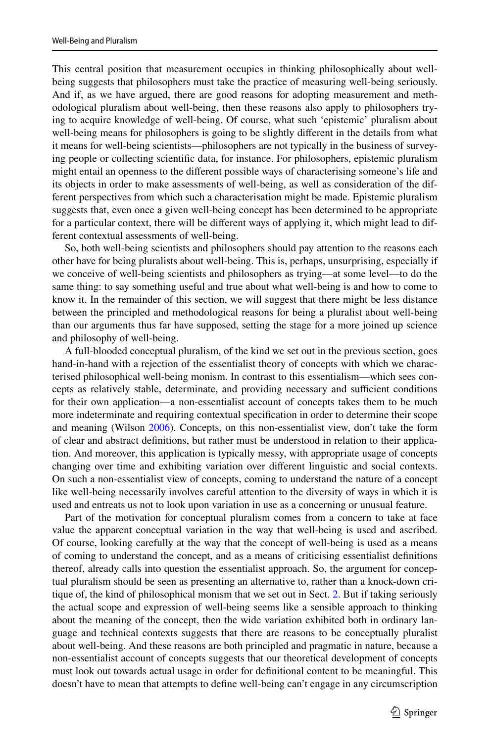This central position that measurement occupies in thinking philosophically about wellbeing suggests that philosophers must take the practice of measuring well-being seriously. And if, as we have argued, there are good reasons for adopting measurement and methodological pluralism about well-being, then these reasons also apply to philosophers trying to acquire knowledge of well-being. Of course, what such 'epistemic' pluralism about well-being means for philosophers is going to be slightly diferent in the details from what it means for well-being scientists—philosophers are not typically in the business of surveying people or collecting scientifc data, for instance. For philosophers, epistemic pluralism might entail an openness to the diferent possible ways of characterising someone's life and its objects in order to make assessments of well-being, as well as consideration of the different perspectives from which such a characterisation might be made. Epistemic pluralism suggests that, even once a given well-being concept has been determined to be appropriate for a particular context, there will be diferent ways of applying it, which might lead to different contextual assessments of well-being.

So, both well-being scientists and philosophers should pay attention to the reasons each other have for being pluralists about well-being. This is, perhaps, unsurprising, especially if we conceive of well-being scientists and philosophers as trying—at some level—to do the same thing: to say something useful and true about what well-being is and how to come to know it. In the remainder of this section, we will suggest that there might be less distance between the principled and methodological reasons for being a pluralist about well-being than our arguments thus far have supposed, setting the stage for a more joined up science and philosophy of well-being.

A full-blooded conceptual pluralism, of the kind we set out in the previous section, goes hand-in-hand with a rejection of the essentialist theory of concepts with which we characterised philosophical well-being monism. In contrast to this essentialism—which sees concepts as relatively stable, determinate, and providing necessary and sufficient conditions for their own application—a non-essentialist account of concepts takes them to be much more indeterminate and requiring contextual specifcation in order to determine their scope and meaning (Wilson [2006](#page-22-4)). Concepts, on this non-essentialist view, don't take the form of clear and abstract defnitions, but rather must be understood in relation to their application. And moreover, this application is typically messy, with appropriate usage of concepts changing over time and exhibiting variation over diferent linguistic and social contexts. On such a non-essentialist view of concepts, coming to understand the nature of a concept like well-being necessarily involves careful attention to the diversity of ways in which it is used and entreats us not to look upon variation in use as a concerning or unusual feature.

Part of the motivation for conceptual pluralism comes from a concern to take at face value the apparent conceptual variation in the way that well-being is used and ascribed. Of course, looking carefully at the way that the concept of well-being is used as a means of coming to understand the concept, and as a means of criticising essentialist defnitions thereof, already calls into question the essentialist approach. So, the argument for conceptual pluralism should be seen as presenting an alternative to, rather than a knock-down critique of, the kind of philosophical monism that we set out in Sect. [2](#page-1-0). But if taking seriously the actual scope and expression of well-being seems like a sensible approach to thinking about the meaning of the concept, then the wide variation exhibited both in ordinary language and technical contexts suggests that there are reasons to be conceptually pluralist about well-being. And these reasons are both principled and pragmatic in nature, because a non-essentialist account of concepts suggests that our theoretical development of concepts must look out towards actual usage in order for defnitional content to be meaningful. This doesn't have to mean that attempts to defne well-being can't engage in any circumscription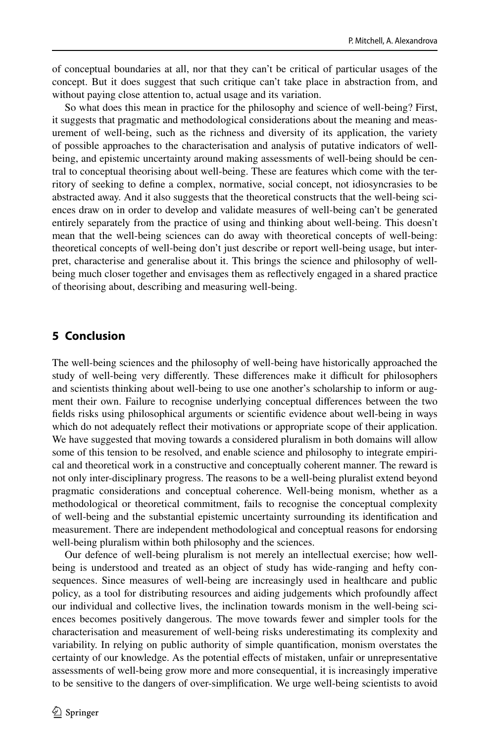of conceptual boundaries at all, nor that they can't be critical of particular usages of the concept. But it does suggest that such critique can't take place in abstraction from, and without paying close attention to, actual usage and its variation.

So what does this mean in practice for the philosophy and science of well-being? First, it suggests that pragmatic and methodological considerations about the meaning and measurement of well-being, such as the richness and diversity of its application, the variety of possible approaches to the characterisation and analysis of putative indicators of wellbeing, and epistemic uncertainty around making assessments of well-being should be central to conceptual theorising about well-being. These are features which come with the territory of seeking to defne a complex, normative, social concept, not idiosyncrasies to be abstracted away. And it also suggests that the theoretical constructs that the well-being sciences draw on in order to develop and validate measures of well-being can't be generated entirely separately from the practice of using and thinking about well-being. This doesn't mean that the well-being sciences can do away with theoretical concepts of well-being: theoretical concepts of well-being don't just describe or report well-being usage, but interpret, characterise and generalise about it. This brings the science and philosophy of wellbeing much closer together and envisages them as refectively engaged in a shared practice of theorising about, describing and measuring well-being.

## **5 Conclusion**

The well-being sciences and the philosophy of well-being have historically approached the study of well-being very diferently. These diferences make it difcult for philosophers and scientists thinking about well-being to use one another's scholarship to inform or augment their own. Failure to recognise underlying conceptual diferences between the two felds risks using philosophical arguments or scientifc evidence about well-being in ways which do not adequately refect their motivations or appropriate scope of their application. We have suggested that moving towards a considered pluralism in both domains will allow some of this tension to be resolved, and enable science and philosophy to integrate empirical and theoretical work in a constructive and conceptually coherent manner. The reward is not only inter-disciplinary progress. The reasons to be a well-being pluralist extend beyond pragmatic considerations and conceptual coherence. Well-being monism, whether as a methodological or theoretical commitment, fails to recognise the conceptual complexity of well-being and the substantial epistemic uncertainty surrounding its identifcation and measurement. There are independent methodological and conceptual reasons for endorsing well-being pluralism within both philosophy and the sciences.

Our defence of well-being pluralism is not merely an intellectual exercise; how wellbeing is understood and treated as an object of study has wide-ranging and hefty consequences. Since measures of well-being are increasingly used in healthcare and public policy, as a tool for distributing resources and aiding judgements which profoundly afect our individual and collective lives, the inclination towards monism in the well-being sciences becomes positively dangerous. The move towards fewer and simpler tools for the characterisation and measurement of well-being risks underestimating its complexity and variability. In relying on public authority of simple quantifcation, monism overstates the certainty of our knowledge. As the potential efects of mistaken, unfair or unrepresentative assessments of well-being grow more and more consequential, it is increasingly imperative to be sensitive to the dangers of over-simplifcation. We urge well-being scientists to avoid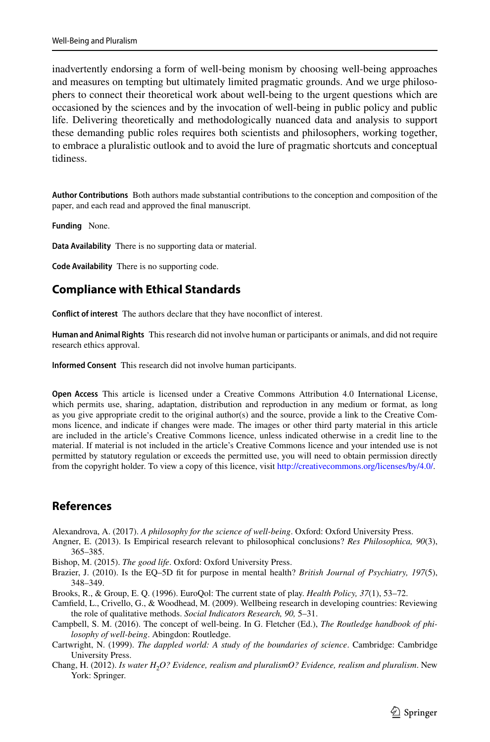inadvertently endorsing a form of well-being monism by choosing well-being approaches and measures on tempting but ultimately limited pragmatic grounds. And we urge philosophers to connect their theoretical work about well-being to the urgent questions which are occasioned by the sciences and by the invocation of well-being in public policy and public life. Delivering theoretically and methodologically nuanced data and analysis to support these demanding public roles requires both scientists and philosophers, working together, to embrace a pluralistic outlook and to avoid the lure of pragmatic shortcuts and conceptual tidiness.

**Author Contributions** Both authors made substantial contributions to the conception and composition of the paper, and each read and approved the fnal manuscript.

**Funding** None.

**Data Availability** There is no supporting data or material.

**Code Availability** There is no supporting code.

## **Compliance with Ethical Standards**

**Confict of interest** The authors declare that they have noconfict of interest.

**Human and Animal Rights** This research did not involve human or participants or animals, and did not require research ethics approval.

**Informed Consent** This research did not involve human participants.

**Open Access** This article is licensed under a Creative Commons Attribution 4.0 International License, which permits use, sharing, adaptation, distribution and reproduction in any medium or format, as long as you give appropriate credit to the original author(s) and the source, provide a link to the Creative Commons licence, and indicate if changes were made. The images or other third party material in this article are included in the article's Creative Commons licence, unless indicated otherwise in a credit line to the material. If material is not included in the article's Creative Commons licence and your intended use is not permitted by statutory regulation or exceeds the permitted use, you will need to obtain permission directly from the copyright holder. To view a copy of this licence, visit [http://creativecommons.org/licenses/by/4.0/.](http://creativecommons.org/licenses/by/4.0/)

## **References**

<span id="page-20-3"></span>Alexandrova, A. (2017). *A philosophy for the science of well-being*. Oxford: Oxford University Press.

- <span id="page-20-0"></span>Angner, E. (2013). Is Empirical research relevant to philosophical conclusions? *Res Philosophica, 90*(3), 365–385.
- <span id="page-20-1"></span>Bishop, M. (2015). *The good life*. Oxford: Oxford University Press.
- <span id="page-20-7"></span>Brazier, J. (2010). Is the EQ–5D ft for purpose in mental health? *British Journal of Psychiatry, 197*(5), 348–349.
- <span id="page-20-6"></span>Brooks, R., & Group, E. Q. (1996). EuroQol: The current state of play. *Health Policy, 37*(1), 53–72.
- <span id="page-20-2"></span>Camfeld, L., Crivello, G., & Woodhead, M. (2009). Wellbeing research in developing countries: Reviewing the role of qualitative methods. *Social Indicators Research, 90,* 5–31.
- <span id="page-20-8"></span>Campbell, S. M. (2016). The concept of well-being. In G. Fletcher (Ed.), *The Routledge handbook of philosophy of well-being*. Abingdon: Routledge.
- <span id="page-20-4"></span>Cartwright, N. (1999). *The dappled world: A study of the boundaries of science*. Cambridge: Cambridge University Press.
- <span id="page-20-5"></span>Chang, H. (2012). *Is water H*2*O? Evidence, realism and pluralismO? Evidence, realism and pluralism*. New York: Springer.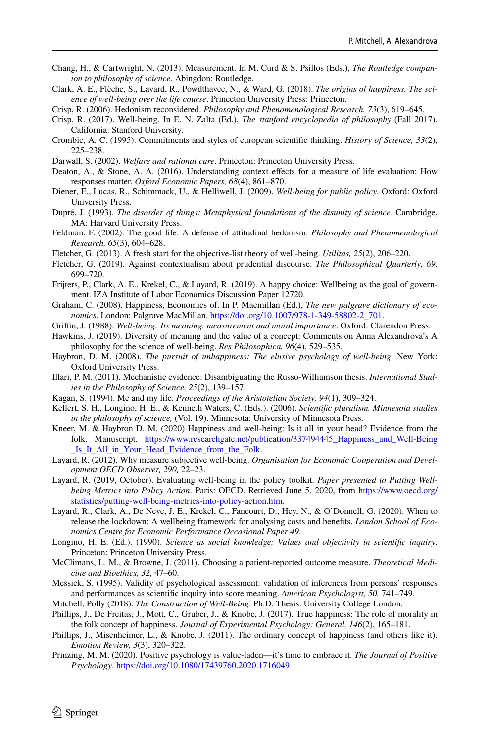- <span id="page-21-21"></span>Chang, H., & Cartwright, N. (2013). Measurement. In M. Curd & S. Psillos (Eds.), *The Routledge companion to philosophy of science*. Abingdon: Routledge.
- <span id="page-21-3"></span>Clark, A. E., Flèche, S., Layard, R., Powdthavee, N., & Ward, G. (2018). *The origins of happiness. The science of well-being over the life course*. Princeton University Press: Princeton.
- <span id="page-21-27"></span>Crisp, R. (2006). Hedonism reconsidered. *Philosophy and Phenomenological Research, 73*(3), 619–645.
- <span id="page-21-14"></span>Crisp, R. (2017). Well-being. In E. N. Zalta (Ed.), *The stanford encyclopedia of philosophy* (Fall 2017). California: Stanford University.
- <span id="page-21-17"></span>Crombie, A. C. (1995). Commitments and styles of european scientifc thinking. *History of Science, 33*(2), 225–238.
- <span id="page-21-28"></span>Darwall, S. (2002). *Welfare and rational care*. Princeton: Princeton University Press.
- <span id="page-21-6"></span>Deaton, A., & Stone, A. A. (2016). Understanding context efects for a measure of life evaluation: How responses matter. *Oxford Economic Papers, 68*(4), 861–870.
- <span id="page-21-1"></span>Diener, E., Lucas, R., Schimmack, U., & Helliwell, J. (2009). *Well-being for public policy*. Oxford: Oxford University Press.
- <span id="page-21-18"></span>Dupré, J. (1993). *The disorder of things: Metaphysical foundations of the disunity of science*. Cambridge, MA: Harvard University Press.
- <span id="page-21-12"></span>Feldman, F. (2002). The good life: A defense of attitudinal hedonism. *Philosophy and Phenomenological Research, 65*(3), 604–628.
- <span id="page-21-13"></span>Fletcher, G. (2013). A fresh start for the objective-list theory of well-being. *Utilitas, 25*(2), 206–220.
- <span id="page-21-29"></span>Fletcher, G. (2019). Against contextualism about prudential discourse. *The Philosophical Quarterly, 69,* 699–720.
- <span id="page-21-4"></span>Frijters, P., Clark, A. E., Krekel, C., & Layard, R. (2019). A happy choice: Wellbeing as the goal of government. IZA Institute of Labor Economics Discussion Paper 12720.
- <span id="page-21-7"></span>Graham, C. (2008). Happiness, Economics of. In P. Macmillan (Ed.), *The new palgrave dictionary of economics*. London: Palgrave MacMillan. [https://doi.org/10.1007/978-1-349-58802-2\\_701.](https://doi.org/10.1007/978-1-349-58802-2_701)
- <span id="page-21-10"></span>Grifn, J. (1988). *Well-being: Its meaning, measurement and moral importance*. Oxford: Clarendon Press.
- <span id="page-21-16"></span>Hawkins, J. (2019). Diversity of meaning and the value of a concept: Comments on Anna Alexandrova's A philosophy for the science of well-being. *Res Philosophica, 96*(4), 529–535.
- <span id="page-21-5"></span>Haybron, D. M. (2008). *The pursuit of unhappiness: The elusive psychology of well-being*. New York: Oxford University Press.
- <span id="page-21-26"></span>Illari, P. M. (2011). Mechanistic evidence: Disambiguating the Russo-Williamson thesis. *International Studies in the Philosophy of Science, 25*(2), 139–157.
- <span id="page-21-11"></span>Kagan, S. (1994). Me and my life. *Proceedings of the Aristotelian Society, 94*(1), 309–324.
- <span id="page-21-20"></span>Kellert, S. H., Longino, H. E., & Kenneth Waters, C. (Eds.). (2006). *Scientifc pluralism. Minnesota studies in the philosophy of science,* (Vol. 19). Minnesota: University of Minnesota Press.
- <span id="page-21-25"></span>Kneer, M. & Haybron D. M. (2020) Happiness and well-being: Is it all in your head? Evidence from the folk. Manuscript. [https://www.researchgate.net/publication/337494445\\_Happiness\\_and\\_Well-Being](https://www.researchgate.net/publication/337494445_Happiness_and_Well-Being_Is_It_All_in_Your_Head_Evidence_from_the_Folk) [\\_Is\\_It\\_All\\_in\\_Your\\_Head\\_Evidence\\_from\\_the\\_Folk](https://www.researchgate.net/publication/337494445_Happiness_and_Well-Being_Is_It_All_in_Your_Head_Evidence_from_the_Folk).
- <span id="page-21-2"></span>Layard, R. (2012). Why measure subjective well-being. *Organisation for Economic Cooperation and Development OECD Observer, 290,* 22–23.
- <span id="page-21-9"></span>Layard, R. (2019, October). Evaluating well-being in the policy toolkit. *Paper presented to Putting Wellbeing Metrics into Policy Action*. Paris: OECD. Retrieved June 5, 2020, from [https://www.oecd.org/](https://www.oecd.org/statistics/putting-well-being-metrics-into-policy-action.htm) [statistics/putting-well-being-metrics-into-policy-action.htm](https://www.oecd.org/statistics/putting-well-being-metrics-into-policy-action.htm).
- <span id="page-21-8"></span>Layard, R., Clark, A., De Neve, J. E., Krekel, C., Fancourt, D., Hey, N., & O'Donnell, G. (2020). When to release the lockdown: A wellbeing framework for analysing costs and benefts. *London School of Economics Centre for Economic Performance Occasional Paper 49*.
- <span id="page-21-19"></span>Longino, H. E. (Ed.). (1990). *Science as social knowledge: Values and objectivity in scientifc inquiry*. Princeton: Princeton University Press.
- <span id="page-21-30"></span>McClimans, L. M., & Browne, J. (2011). Choosing a patient-reported outcome measure. *Theoretical Medicine and Bioethics, 32,* 47–60.
- <span id="page-21-22"></span>Messick, S. (1995). Validity of psychological assessment: validation of inferences from persons' responses and performances as scientifc inquiry into score meaning. *American Psychologist, 50,* 741–749.

<span id="page-21-15"></span>Mitchell, Polly (2018). *The Construction of Well-Being*. Ph.D. Thesis. University College London.

- <span id="page-21-24"></span>Phillips, J., De Freitas, J., Mott, C., Gruber, J., & Knobe, J. (2017). True happiness: The role of morality in the folk concept of happiness. *Journal of Experimental Psychology: General, 146*(2), 165–181.
- <span id="page-21-23"></span>Phillips, J., Misenheimer, L., & Knobe, J. (2011). The ordinary concept of happiness (and others like it). *Emotion Review, 3*(3), 320–322.
- <span id="page-21-0"></span>Prinzing, M. M. (2020). Positive psychology is value-laden—it's time to embrace it. *The Journal of Positive Psychology*.<https://doi.org/10.1080/17439760.2020.1716049>